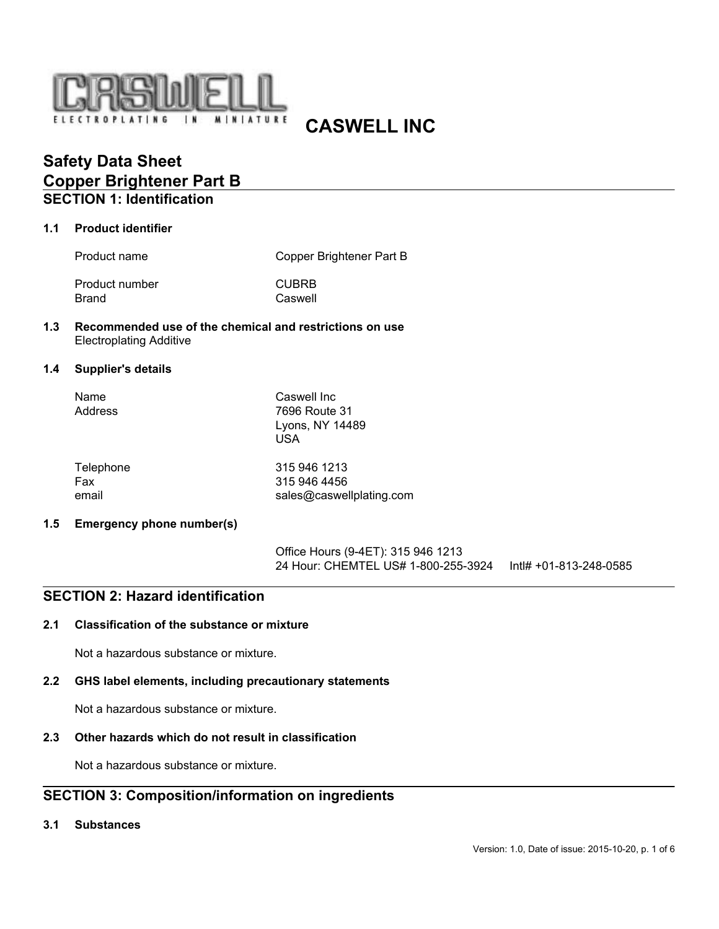

# **CASWELL INC**

## **Safety Data Sheet Copper Brightener Part B SECTION 1: Identification**

### **1.1 Product identifier**

| Product name   | Copper Brightener Part B |  |  |
|----------------|--------------------------|--|--|
| Product number | <b>CUBRB</b>             |  |  |
| Brand          | Caswell                  |  |  |

### **1.3 Recommended use of the chemical and restrictions on use** Electroplating Additive

#### **1.4 Supplier's details**

| Name    | Caswell Inc     |
|---------|-----------------|
| Address | 7696 Route 31   |
|         | Lyons, NY 14489 |
|         | USA             |
|         |                 |

| Telephone | 315 946 1213             |
|-----------|--------------------------|
| Fax       | 315 946 4456             |
| email     | sales@caswellplating.com |

### **1.5 Emergency phone number(s)**

Office Hours (9-4ET): 315 946 1213 24 Hour: CHEMTEL US# 1-800-255-3924 Intl# +01-813-248-0585

## **SECTION 2: Hazard identification**

### **2.1 Classification of the substance or mixture**

Not a hazardous substance or mixture.

### **2.2 GHS label elements, including precautionary statements**

Not a hazardous substance or mixture.

## **2.3 Other hazards which do not result in classification**

Not a hazardous substance or mixture.

## **SECTION 3: Composition/information on ingredients**

#### **3.1 Substances**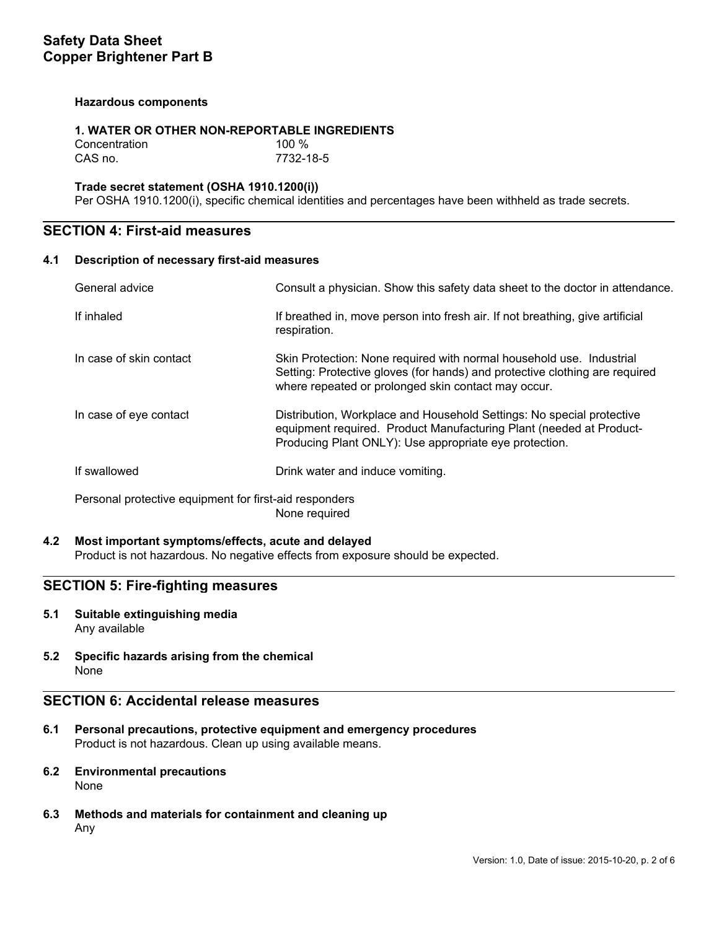### **Hazardous components**

### **1. WATER OR OTHER NON-REPORTABLE INGREDIENTS**

Concentration 100 % CAS no. 7732-18-5

## **Trade secret statement (OSHA 1910.1200(i))**

Per OSHA 1910.1200(i), specific chemical identities and percentages have been withheld as trade secrets.

## **SECTION 4: First-aid measures**

#### **4.1 Description of necessary first-aid measures**

| General advice                                                          | Consult a physician. Show this safety data sheet to the doctor in attendance.                                                                                                                              |  |
|-------------------------------------------------------------------------|------------------------------------------------------------------------------------------------------------------------------------------------------------------------------------------------------------|--|
| If inhaled                                                              | If breathed in, move person into fresh air. If not breathing, give artificial<br>respiration.                                                                                                              |  |
| In case of skin contact                                                 | Skin Protection: None required with normal household use. Industrial<br>Setting: Protective gloves (for hands) and protective clothing are required<br>where repeated or prolonged skin contact may occur. |  |
| In case of eye contact                                                  | Distribution, Workplace and Household Settings: No special protective<br>equipment required. Product Manufacturing Plant (needed at Product-<br>Producing Plant ONLY): Use appropriate eye protection.     |  |
| If swallowed                                                            | Drink water and induce vomiting.                                                                                                                                                                           |  |
| Personal protective equipment for first-aid responders<br>None required |                                                                                                                                                                                                            |  |

### **4.2 Most important symptoms/effects, acute and delayed**

Product is not hazardous. No negative effects from exposure should be expected.

## **SECTION 5: Fire-fighting measures**

- **5.1 Suitable extinguishing media** Any available
- **5.2 Specific hazards arising from the chemical** None

## **SECTION 6: Accidental release measures**

- **6.1 Personal precautions, protective equipment and emergency procedures** Product is not hazardous. Clean up using available means.
- **6.2 Environmental precautions** None
- **6.3 Methods and materials for containment and cleaning up** Any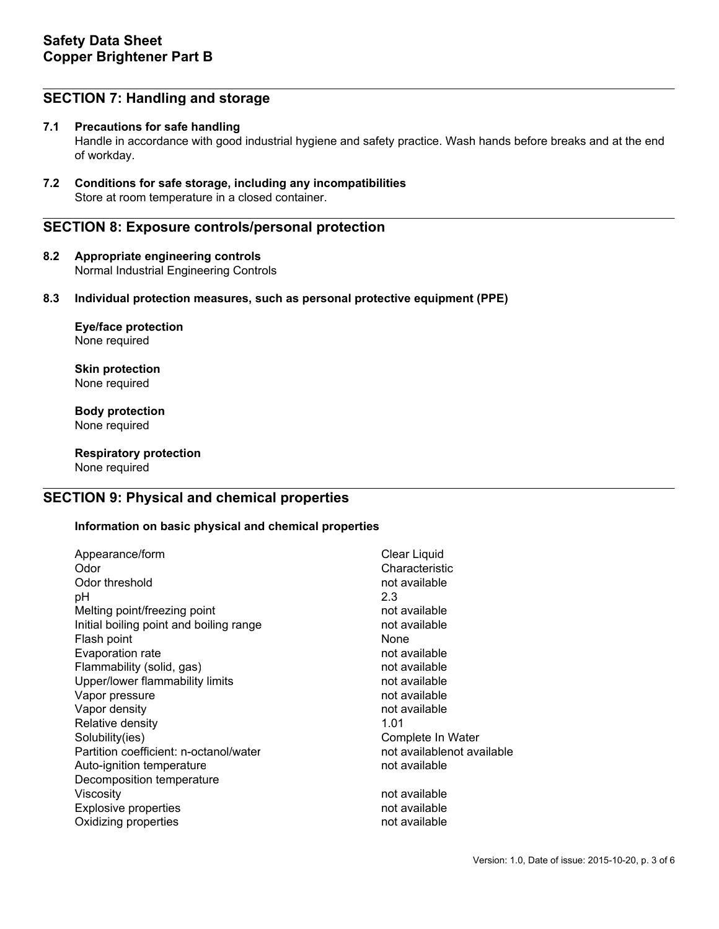## **SECTION 7: Handling and storage**

## **7.1 Precautions for safe handling**

Handle in accordance with good industrial hygiene and safety practice. Wash hands before breaks and at the end of workday.

**7.2 Conditions for safe storage, including any incompatibilities** Store at room temperature in a closed container.

## **SECTION 8: Exposure controls/personal protection**

**8.2 Appropriate engineering controls** Normal Industrial Engineering Controls

## **8.3 Individual protection measures, such as personal protective equipment (PPE)**

**Eye/face protection** None required

**Skin protection** None required

**Body protection** None required

**Respiratory protection** None required

## **SECTION 9: Physical and chemical properties**

### **Information on basic physical and chemical properties**

| Appearance/form<br>Odor<br>Odor threshold<br>рH<br>Melting point/freezing point<br>Initial boiling point and boiling range<br>Flash point<br>Evaporation rate<br>Flammability (solid, gas)<br>Upper/lower flammability limits<br>Vapor pressure<br>Vapor density<br>Relative density<br>Solubility(ies)<br>Partition coefficient: n-octanol/water<br>Auto-ignition temperature | <b>Clear Liquid</b><br>Characteristic<br>not available<br>2.3<br>not available<br>not available<br>None<br>not available<br>not available<br>not available<br>not available<br>not available<br>1.01<br>Complete In Water<br>not availablenot available<br>not available |
|--------------------------------------------------------------------------------------------------------------------------------------------------------------------------------------------------------------------------------------------------------------------------------------------------------------------------------------------------------------------------------|--------------------------------------------------------------------------------------------------------------------------------------------------------------------------------------------------------------------------------------------------------------------------|
| Decomposition temperature<br>Viscosity<br><b>Explosive properties</b><br>Oxidizing properties                                                                                                                                                                                                                                                                                  | not available<br>not available<br>not available                                                                                                                                                                                                                          |
|                                                                                                                                                                                                                                                                                                                                                                                |                                                                                                                                                                                                                                                                          |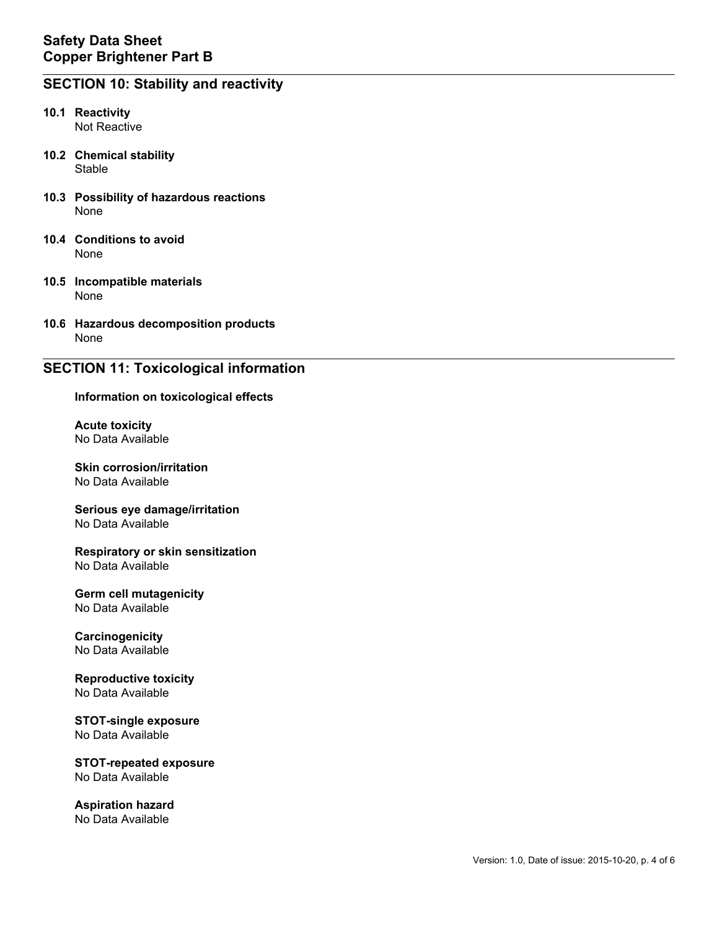## **SECTION 10: Stability and reactivity**

- **10.1 Reactivity** Not Reactive
- **10.2 Chemical stability** Stable
- **10.3 Possibility of hazardous reactions** None
- **10.4 Conditions to avoid** None
- **10.5 Incompatible materials** None
- **10.6 Hazardous decomposition products** None

## **SECTION 11: Toxicological information**

#### **Information on toxicological effects**

**Acute toxicity** No Data Available

**Skin corrosion/irritation** No Data Available

#### **Serious eye damage/irritation** No Data Available

**Respiratory or skin sensitization** No Data Available

#### **Germ cell mutagenicity** No Data Available

**Carcinogenicity** No Data Available

#### **Reproductive toxicity** No Data Available

**STOT-single exposure** No Data Available

**STOT-repeated exposure** No Data Available

**Aspiration hazard** No Data Available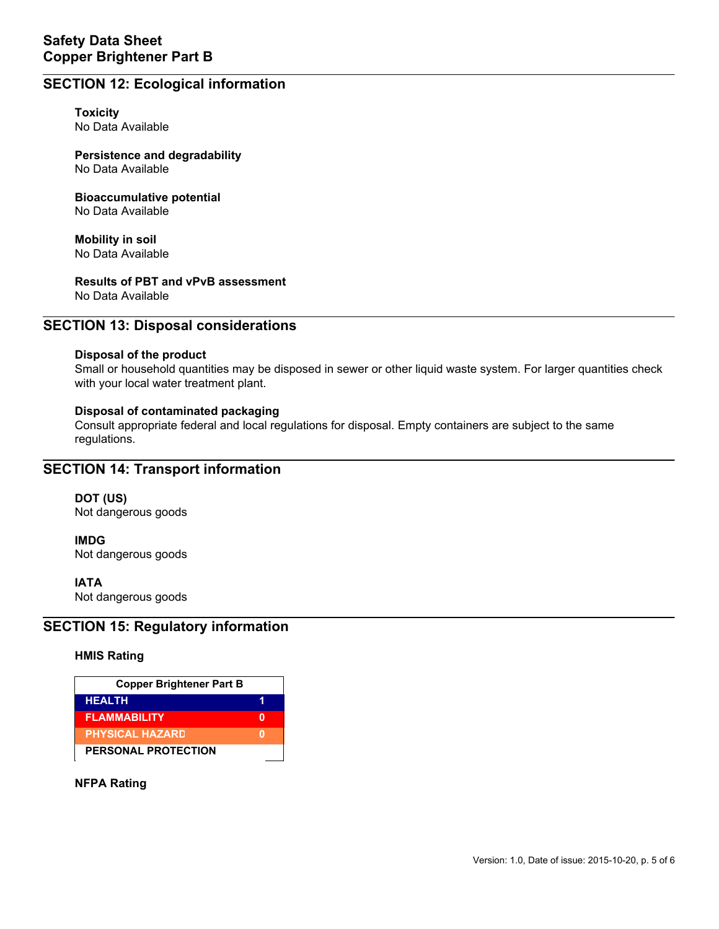## **SECTION 12: Ecological information**

**Toxicity** No Data Available

**Persistence and degradability** No Data Available

**Bioaccumulative potential** No Data Available

**Mobility in soil** No Data Available

**Results of PBT and vPvB assessment**

No Data Available

## **SECTION 13: Disposal considerations**

### **Disposal of the product**

Small or household quantities may be disposed in sewer or other liquid waste system. For larger quantities check with your local water treatment plant.

### **Disposal of contaminated packaging**

Consult appropriate federal and local regulations for disposal. Empty containers are subject to the same regulations.

## **SECTION 14: Transport information**

**DOT (US)** Not dangerous goods

**IMDG** Not dangerous goods

**IATA**

Not dangerous goods

## **SECTION 15: Regulatory information**

### **HMIS Rating**

| <b>Copper Brightener Part B</b> |  |  |
|---------------------------------|--|--|
| <b>HEALTH</b>                   |  |  |
| <b>FLAMMABILITY</b>             |  |  |
| <b>PHYSICAL HAZARD</b>          |  |  |
| PERSONAL PROTECTION             |  |  |

**NFPA Rating**